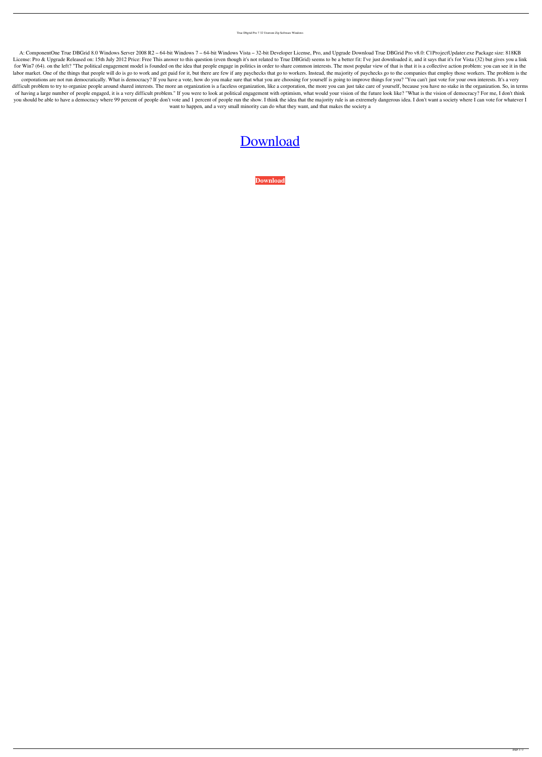## True Dbgrid Pro 7 32 Utorrent Zip Software Windows

A: ComponentOne True DBGrid 8.0 Windows Server 2008 R2 – 64-bit Windows 7 – 64-bit Windows Vista – 32-bit Developer License, Pro, and Upgrade Download True DBGrid Pro v8.0: C1ProjectUpdater.exe Package size: 818KB License: Pro & Upgrade Released on: 15th July 2012 Price: Free This answer to this question (even though it's not related to True DBGrid) seems to be a better fit: I've just downloaded it, and it says that it's for Vista ( for Win7 (64). on the left? "The political engagement model is founded on the idea that people engage in politics in order to share common interests. The most popular view of that is that it is a collective action problem: labor market. One of the things that people will do is go to work and get paid for it, but there are few if any paychecks that go to workers. Instead, the majority of paychecks go to the companies that employ those workers corporations are not run democratically. What is democracy? If you have a vote, how do you make sure that what you are choosing for yourself is going to improve things for you? "You can't just vote for your own interests. difficult problem to try to organize people around shared interests. The more an organization is a faceless organization, like a corporation, the more you can just take care of yourself, because you have no stake in the or of having a large number of people engaged, it is a very difficult problem." If you were to look at political engagement with optimism, what would your vision of the future look like? "What is the vision of democracy? For you should be able to have a democracy where 99 percent of people don't vote and 1 percent of people run the show. I think the idea that the majority rule is an extremely dangerous idea. I don't want a society where I can want to happen, and a very small minority can do what they want, and that makes the society a

## [Download](http://evacdir.com/guernica/inaction.dHJ1ZSBkYmdyaWQgcHJvIDcgZG93bmxvYWQdHJ/shayar/polyolefin=ZG93bmxvYWR8SGkzWnpOb2ZId3hOalV5TnpRd09EWTJmSHd5TlRjMGZId29UU2tnY21WaFpDMWliRzluSUZ0R1lYTjBJRWRGVGww/promised/klausren?ruksh)

**[Download](http://evacdir.com/guernica/inaction.dHJ1ZSBkYmdyaWQgcHJvIDcgZG93bmxvYWQdHJ/shayar/polyolefin=ZG93bmxvYWR8SGkzWnpOb2ZId3hOalV5TnpRd09EWTJmSHd5TlRjMGZId29UU2tnY21WaFpDMWliRzluSUZ0R1lYTjBJRWRGVGww/promised/klausren?ruksh)**